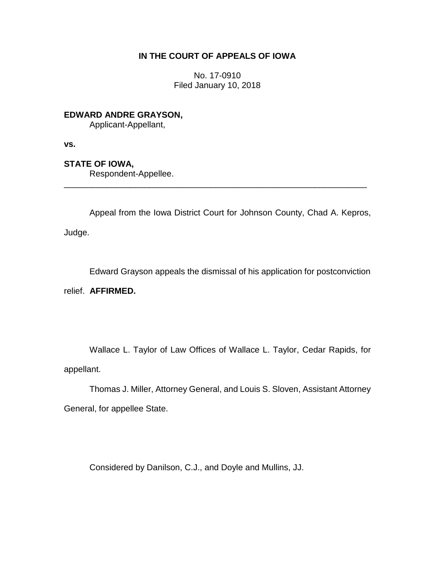## **IN THE COURT OF APPEALS OF IOWA**

No. 17-0910 Filed January 10, 2018

**EDWARD ANDRE GRAYSON,**

Applicant-Appellant,

**vs.**

**STATE OF IOWA,**

Respondent-Appellee.

Appeal from the Iowa District Court for Johnson County, Chad A. Kepros,

\_\_\_\_\_\_\_\_\_\_\_\_\_\_\_\_\_\_\_\_\_\_\_\_\_\_\_\_\_\_\_\_\_\_\_\_\_\_\_\_\_\_\_\_\_\_\_\_\_\_\_\_\_\_\_\_\_\_\_\_\_\_\_\_

Judge.

Edward Grayson appeals the dismissal of his application for postconviction

relief. **AFFIRMED.**

Wallace L. Taylor of Law Offices of Wallace L. Taylor, Cedar Rapids, for appellant.

Thomas J. Miller, Attorney General, and Louis S. Sloven, Assistant Attorney General, for appellee State.

Considered by Danilson, C.J., and Doyle and Mullins, JJ.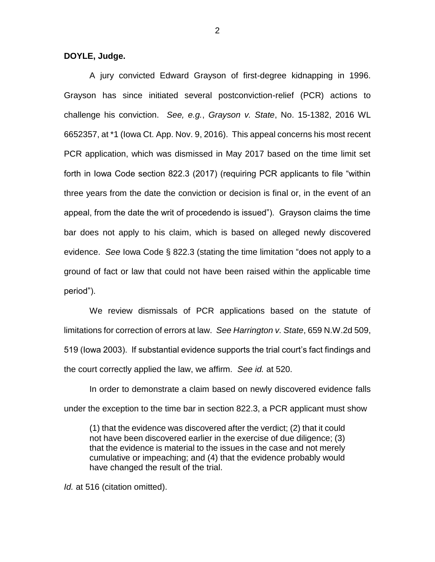**DOYLE, Judge.**

A jury convicted Edward Grayson of first-degree kidnapping in 1996. Grayson has since initiated several postconviction-relief (PCR) actions to challenge his conviction. *See, e.g.*, *Grayson v. State*, No. 15-1382, 2016 WL 6652357, at \*1 (Iowa Ct. App. Nov. 9, 2016). This appeal concerns his most recent PCR application, which was dismissed in May 2017 based on the time limit set forth in Iowa Code section 822.3 (2017) (requiring PCR applicants to file "within three years from the date the conviction or decision is final or, in the event of an appeal, from the date the writ of procedendo is issued"). Grayson claims the time bar does not apply to his claim, which is based on alleged newly discovered evidence. *See* Iowa Code § 822.3 (stating the time limitation "does not apply to a ground of fact or law that could not have been raised within the applicable time period").

We review dismissals of PCR applications based on the statute of limitations for correction of errors at law. *See Harrington v. State*, 659 N.W.2d 509, 519 (Iowa 2003). If substantial evidence supports the trial court's fact findings and the court correctly applied the law, we affirm. *See id.* at 520.

In order to demonstrate a claim based on newly discovered evidence falls under the exception to the time bar in section 822.3, a PCR applicant must show

(1) that the evidence was discovered after the verdict; (2) that it could not have been discovered earlier in the exercise of due diligence; (3) that the evidence is material to the issues in the case and not merely cumulative or impeaching; and (4) that the evidence probably would have changed the result of the trial.

*Id.* at 516 (citation omitted).

2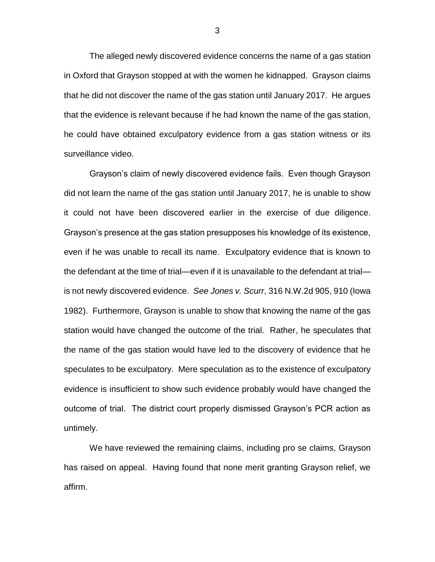The alleged newly discovered evidence concerns the name of a gas station in Oxford that Grayson stopped at with the women he kidnapped. Grayson claims that he did not discover the name of the gas station until January 2017. He argues that the evidence is relevant because if he had known the name of the gas station, he could have obtained exculpatory evidence from a gas station witness or its surveillance video.

Grayson's claim of newly discovered evidence fails. Even though Grayson did not learn the name of the gas station until January 2017, he is unable to show it could not have been discovered earlier in the exercise of due diligence. Grayson's presence at the gas station presupposes his knowledge of its existence, even if he was unable to recall its name. Exculpatory evidence that is known to the defendant at the time of trial—even if it is unavailable to the defendant at trial is not newly discovered evidence. *See Jones v. Scurr*, 316 N.W.2d 905, 910 (Iowa 1982). Furthermore, Grayson is unable to show that knowing the name of the gas station would have changed the outcome of the trial. Rather, he speculates that the name of the gas station would have led to the discovery of evidence that he speculates to be exculpatory. Mere speculation as to the existence of exculpatory evidence is insufficient to show such evidence probably would have changed the outcome of trial. The district court properly dismissed Grayson's PCR action as untimely.

We have reviewed the remaining claims, including pro se claims, Grayson has raised on appeal. Having found that none merit granting Grayson relief, we affirm.

3